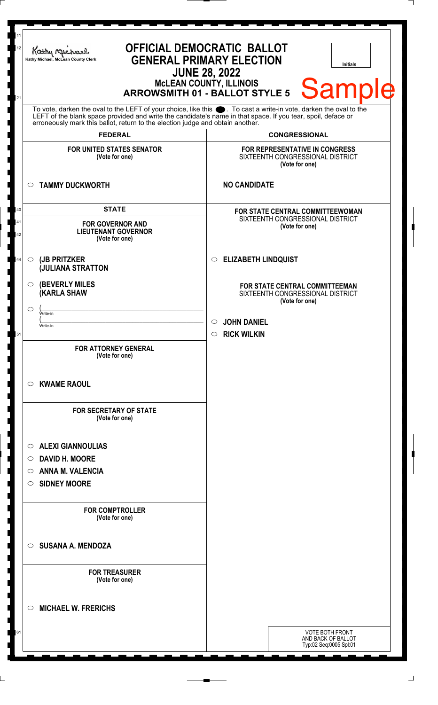| 11<br><b>OFFICIAL DEMOCRATIC BALLOT</b><br>12<br>Kathy Michael<br><b>GENERAL PRIMARY ELECTION</b><br>Kathy Michael, McLean County Clerk<br><b>Initials</b><br><b>JUNE 28, 2022</b><br><b>MCLEAN COUNTY, ILLINOIS</b><br>Sample<br><b>ARROWSMITH 01 - BALLOT STYLE 5</b><br>21                                       |                                                                                             |  |
|---------------------------------------------------------------------------------------------------------------------------------------------------------------------------------------------------------------------------------------------------------------------------------------------------------------------|---------------------------------------------------------------------------------------------|--|
| To vote, darken the oval to the LEFT of your choice, like this ●. To cast a write-in vote, darken the oval to the<br>LEFT of the blank space provided and write the candidate's name in that space. If you tear, spoil, deface or<br>erroneously mark this ballot, return to the election judge and obtain another. |                                                                                             |  |
| <b>FEDERAL</b>                                                                                                                                                                                                                                                                                                      | <b>CONGRESSIONAL</b>                                                                        |  |
| <b>FOR UNITED STATES SENATOR</b><br>(Vote for one)                                                                                                                                                                                                                                                                  | <b>FOR REPRESENTATIVE IN CONGRESS</b><br>SIXTEENTH CONGRESSIONAL DISTRICT<br>(Vote for one) |  |
| <b>TAMMY DUCKWORTH</b><br>O                                                                                                                                                                                                                                                                                         | <b>NO CANDIDATE</b>                                                                         |  |
| <b>STATE</b><br>40                                                                                                                                                                                                                                                                                                  | FOR STATE CENTRAL COMMITTEEWOMAN                                                            |  |
| 41<br><b>FOR GOVERNOR AND</b><br><b>LIEUTENANT GOVERNOR</b><br>42<br>(Vote for one)                                                                                                                                                                                                                                 | SIXTEENTH CONGRESSIONAL DISTRICT<br>(Vote for one)                                          |  |
| (JB PRITZKER<br>44<br>$\circ$<br>(JULIANA STRATTON                                                                                                                                                                                                                                                                  | <b>ELIZABETH LINDQUIST</b><br>$\circ$                                                       |  |
| <b>(BEVERLY MILES</b><br>O<br><b>(KARLA SHAW</b><br>$\circlearrowright$                                                                                                                                                                                                                                             | <b>FOR STATE CENTRAL COMMITTEEMAN</b><br>SIXTEENTH CONGRESSIONAL DISTRICT<br>(Vote for one) |  |
| Write-in<br>Write-in<br>51                                                                                                                                                                                                                                                                                          | <b>JOHN DANIEL</b><br>$\circ$<br>$\circ$ RICK WILKIN                                        |  |
| <b>FOR ATTORNEY GENERAL</b><br>(Vote for one)                                                                                                                                                                                                                                                                       |                                                                                             |  |
| <b>KWAME RAOUL</b><br>O                                                                                                                                                                                                                                                                                             |                                                                                             |  |
| <b>FOR SECRETARY OF STATE</b><br>(Vote for one)                                                                                                                                                                                                                                                                     |                                                                                             |  |
| <b>ALEXI GIANNOULIAS</b><br>O                                                                                                                                                                                                                                                                                       |                                                                                             |  |
| <b>DAVID H. MOORE</b><br>O                                                                                                                                                                                                                                                                                          |                                                                                             |  |
| <b>ANNA M. VALENCIA</b><br>O                                                                                                                                                                                                                                                                                        |                                                                                             |  |
| <b>SIDNEY MOORE</b><br>O                                                                                                                                                                                                                                                                                            |                                                                                             |  |
| <b>FOR COMPTROLLER</b><br>(Vote for one)                                                                                                                                                                                                                                                                            |                                                                                             |  |
| <b>SUSANA A. MENDOZA</b><br>$\circ$                                                                                                                                                                                                                                                                                 |                                                                                             |  |
| <b>FOR TREASURER</b><br>(Vote for one)                                                                                                                                                                                                                                                                              |                                                                                             |  |
| <b>MICHAEL W. FRERICHS</b><br>◯                                                                                                                                                                                                                                                                                     |                                                                                             |  |
| 61                                                                                                                                                                                                                                                                                                                  | <b>VOTE BOTH FRONT</b><br>AND BACK OF BALLOT<br>Typ:02 Seq:0005 Spl:01                      |  |

I 

I

|<br>|<br>|

 $\perp$